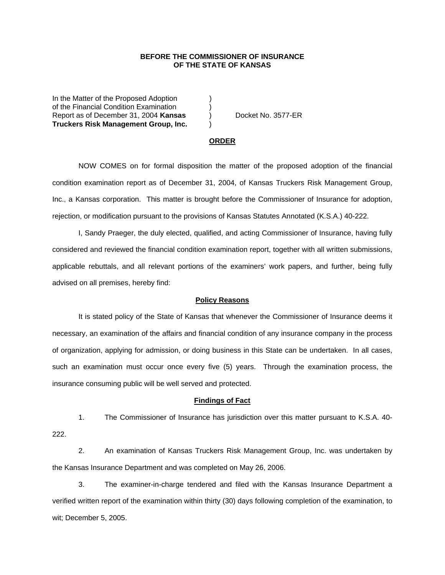## **BEFORE THE COMMISSIONER OF INSURANCE OF THE STATE OF KANSAS**

In the Matter of the Proposed Adoption of the Financial Condition Examination ) Report as of December 31, 2004 **Kansas** ) Docket No. 3577-ER **Truckers Risk Management Group, Inc.** )

### **ORDER**

 NOW COMES on for formal disposition the matter of the proposed adoption of the financial condition examination report as of December 31, 2004, of Kansas Truckers Risk Management Group, Inc., a Kansas corporation. This matter is brought before the Commissioner of Insurance for adoption, rejection, or modification pursuant to the provisions of Kansas Statutes Annotated (K.S.A.) 40-222.

 I, Sandy Praeger, the duly elected, qualified, and acting Commissioner of Insurance, having fully considered and reviewed the financial condition examination report, together with all written submissions, applicable rebuttals, and all relevant portions of the examiners' work papers, and further, being fully advised on all premises, hereby find:

## **Policy Reasons**

 It is stated policy of the State of Kansas that whenever the Commissioner of Insurance deems it necessary, an examination of the affairs and financial condition of any insurance company in the process of organization, applying for admission, or doing business in this State can be undertaken. In all cases, such an examination must occur once every five (5) years. Through the examination process, the insurance consuming public will be well served and protected.

#### **Findings of Fact**

 1. The Commissioner of Insurance has jurisdiction over this matter pursuant to K.S.A. 40- 222.

 2. An examination of Kansas Truckers Risk Management Group, Inc. was undertaken by the Kansas Insurance Department and was completed on May 26, 2006.

 3. The examiner-in-charge tendered and filed with the Kansas Insurance Department a verified written report of the examination within thirty (30) days following completion of the examination, to wit; December 5, 2005.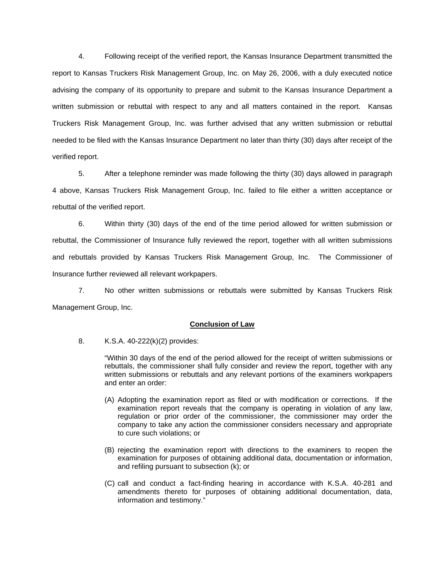4. Following receipt of the verified report, the Kansas Insurance Department transmitted the report to Kansas Truckers Risk Management Group, Inc. on May 26, 2006, with a duly executed notice advising the company of its opportunity to prepare and submit to the Kansas Insurance Department a written submission or rebuttal with respect to any and all matters contained in the report. Kansas Truckers Risk Management Group, Inc. was further advised that any written submission or rebuttal needed to be filed with the Kansas Insurance Department no later than thirty (30) days after receipt of the verified report.

 5. After a telephone reminder was made following the thirty (30) days allowed in paragraph 4 above, Kansas Truckers Risk Management Group, Inc. failed to file either a written acceptance or rebuttal of the verified report.

 6. Within thirty (30) days of the end of the time period allowed for written submission or rebuttal, the Commissioner of Insurance fully reviewed the report, together with all written submissions and rebuttals provided by Kansas Truckers Risk Management Group, Inc. The Commissioner of Insurance further reviewed all relevant workpapers.

 7. No other written submissions or rebuttals were submitted by Kansas Truckers Risk Management Group, Inc.

## **Conclusion of Law**

8. K.S.A. 40-222(k)(2) provides:

"Within 30 days of the end of the period allowed for the receipt of written submissions or rebuttals, the commissioner shall fully consider and review the report, together with any written submissions or rebuttals and any relevant portions of the examiners workpapers and enter an order:

- (A) Adopting the examination report as filed or with modification or corrections. If the examination report reveals that the company is operating in violation of any law, regulation or prior order of the commissioner, the commissioner may order the company to take any action the commissioner considers necessary and appropriate to cure such violations; or
- (B) rejecting the examination report with directions to the examiners to reopen the examination for purposes of obtaining additional data, documentation or information, and refiling pursuant to subsection (k); or
- (C) call and conduct a fact-finding hearing in accordance with K.S.A. 40-281 and amendments thereto for purposes of obtaining additional documentation, data, information and testimony."